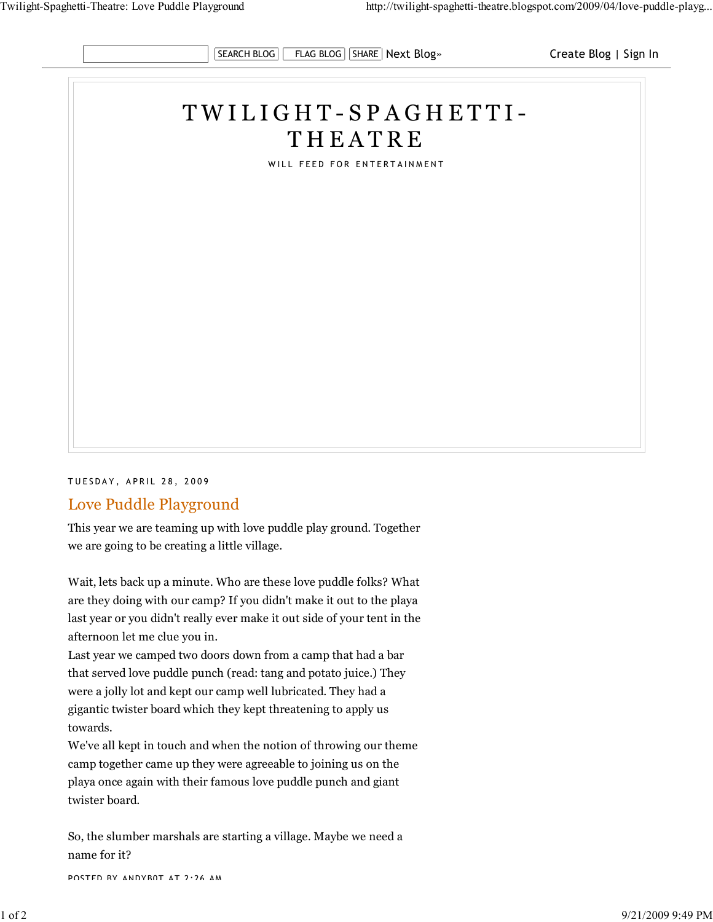

## T W I L I G H T - S P A G H E T T I - **THEATRE**

WILL FEED FOR ENTERTAINMENT

TUESDAY, APRIL 28, 2009

## Love Puddle Playground

This year we are teaming up with love puddle play ground. Together we are going to be creating a little village.

Wait, lets back up a minute. Who are these love puddle folks? What are they doing with our camp? If you didn't make it out to the playa last year or you didn't really ever make it out side of your tent in the afternoon let me clue you in.

Last year we camped two doors down from a camp that had a bar that served love puddle punch (read: tang and potato juice.) They were a jolly lot and kept our camp well lubricated. They had a gigantic twister board which they kept threatening to apply us towards.

We've all kept in touch and when the notion of throwing our theme camp together came up they were agreeable to joining us on the playa once again with their famous love puddle punch and giant twister board.

So, the slumber marshals are starting a village. Maybe we need a name for it?

POSTED BY ANDYB0T AT 2:26 AM